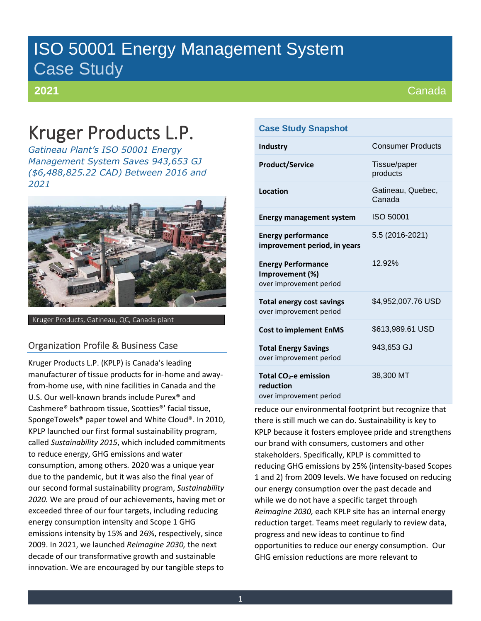# ISO 50001 Energy Management System Case Study

## **2021**

# Kruger Products L.P.

*Gatineau Plant's ISO 50001 Energy Management System Saves 943,653 GJ (\$6,488,825.22 CAD) Between 2016 and 2021*



Kruger Products, Gatineau, QC, Canada plant

# Organization Profile & Business Case

Kruger Products L.P. (KPLP) is Canada's leading manufacturer of tissue products for in-home and awayfrom-home use, with nine facilities in Canada and the U.S. Our well-known brands include Purex® and Cashmere® bathroom tissue, Scotties®' facial tissue, SpongeTowels® paper towel and White Cloud®. In 2010, KPLP launched our first formal sustainability program, called *Sustainability 2015*, which included commitments to reduce energy, GHG emissions and water consumption, among others*.* 2020 was a unique year due to the pandemic, but it was also the final year of our second formal sustainability program, *Sustainability 2020.* We are proud of our achievements, having met or exceeded three of our four targets, including reducing energy consumption intensity and Scope 1 GHG emissions intensity by 15% and 26%, respectively, since 2009. In 2021, we launched *Reimagine 2030,* the next decade of our transformative growth and sustainable innovation. We are encouraged by our tangible steps to

## **Case Study Snapshot**

| <b>Industry</b>                                                           | <b>Consumer Products</b>    |
|---------------------------------------------------------------------------|-----------------------------|
| <b>Product/Service</b>                                                    | Tissue/paper<br>products    |
| Location                                                                  | Gatineau, Quebec,<br>Canada |
| <b>Energy management system</b>                                           | ISO 50001                   |
| <b>Energy performance</b><br>improvement period, in years                 | 5.5 (2016-2021)             |
| <b>Energy Performance</b><br>Improvement (%)<br>over improvement period   | 12.92%                      |
| <b>Total energy cost savings</b><br>over improvement period               | \$4,952,007.76 USD          |
| <b>Cost to implement EnMS</b>                                             | \$613,989.61 USD            |
| <b>Total Energy Savings</b><br>over improvement period                    | 943,653 GJ                  |
| Total CO <sub>2</sub> -e emission<br>reduction<br>over improvement period | 38,300 MT                   |

reduce our environmental footprint but recognize that there is still much we can do. Sustainability is key to KPLP because it fosters employee pride and strengthens our brand with consumers, customers and other stakeholders. Specifically, KPLP is committed to reducing GHG emissions by 25% (intensity-based Scopes 1 and 2) from 2009 levels. We have focused on reducing our energy consumption over the past decade and while we do not have a specific target through *Reimagine 2030,* each KPLP site has an internal energy reduction target. Teams meet regularly to review data, progress and new ideas to continue to find opportunities to reduce our energy consumption. Our GHG emission reductions are more relevant to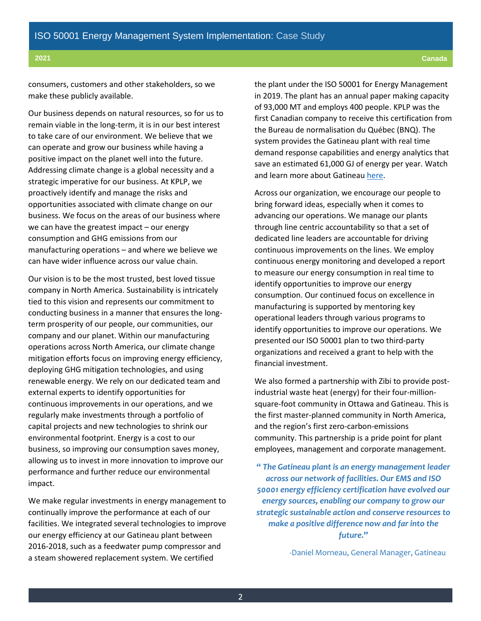consumers, customers and other stakeholders, so we make these publicly available.

Our business depends on natural resources, so for us to remain viable in the long-term, it is in our best interest to take care of our environment. We believe that we can operate and grow our business while having a positive impact on the planet well into the future. Addressing climate change is a global necessity and a strategic imperative for our business. At KPLP, we proactively identify and manage the risks and opportunities associated with climate change on our business. We focus on the areas of our business where we can have the greatest impact – our energy consumption and GHG emissions from our manufacturing operations – and where we believe we can have wider influence across our value chain.

Our vision is to be the most trusted, best loved tissue company in North America. Sustainability is intricately tied to this vision and represents our commitment to conducting business in a manner that ensures the longterm prosperity of our people, our communities, our company and our planet. Within our manufacturing operations across North America, our climate change mitigation efforts focus on improving energy efficiency, deploying GHG mitigation technologies, and using renewable energy. We rely on our dedicated team and external experts to identify opportunities for continuous improvements in our operations, and we regularly make investments through a portfolio of capital projects and new technologies to shrink our environmental footprint. Energy is a cost to our business, so improving our consumption saves money, allowing us to invest in more innovation to improve our performance and further reduce our environmental impact.

We make regular investments in energy management to continually improve the performance at each of our facilities. We integrated several technologies to improve our energy efficiency at our Gatineau plant between 2016-2018, such as a feedwater pump compressor and a steam showered replacement system. We certified

the plant under the ISO 50001 for Energy Management in 2019. The plant has an annual paper making capacity of 93,000 MT and employs 400 people. KPLP was the first Canadian company to receive this certification from the Bureau de normalisation du Québec (BNQ). The system provides the Gatineau plant with real time demand response capabilities and energy analytics that save an estimated 61,000 GJ of energy per year. Watch and learn more about Gatineau [here.](https://www.youtube.com/watch?v=xaDwMbzZoGc)

Across our organization, we encourage our people to bring forward ideas, especially when it comes to advancing our operations. We manage our plants through line centric accountability so that a set of dedicated line leaders are accountable for driving continuous improvements on the lines. We employ continuous energy monitoring and developed a report to measure our energy consumption in real time to identify opportunities to improve our energy consumption. Our continued focus on excellence in manufacturing is supported by mentoring key operational leaders through various programs to identify opportunities to improve our operations. We presented our ISO 50001 plan to two third-party organizations and received a grant to help with the financial investment.

We also formed a partnership with Zibi to provide postindustrial waste heat (energy) for their four-millionsquare-foot community in Ottawa and Gatineau. This is the first master-planned community in North America, and the region's first zero-carbon-emissions community. This partnership is a pride point for plant employees, management and corporate management.

**"** *The Gatineau plant is an energy management leader across our network of facilities. Our EMS and ISO 50001 energy efficiency certification have evolved our energy sources, enabling our company to grow our strategic sustainable action and conserve resources to make a positive difference now and far into the future.***"**

-Daniel Morneau, General Manager, Gatineau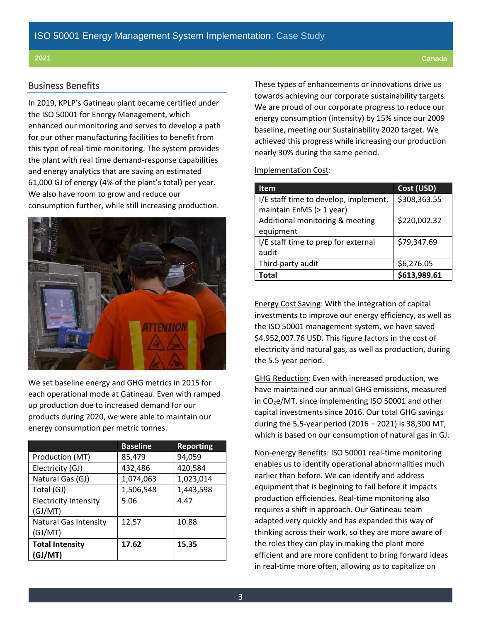### Business Benefits

In 2019, KPLP's Gatineau plant became certified under the ISO 50001 for Energy Management, which enhanced our monitoring and serves to develop a path for our other manufacturing facilities to benefit from this type of real-time monitoring. The system provides the plant with real time demand-response capabilities and energy analytics that are saving an estimated 61,000 GJ of energy (4% of the plant's total) per year. We also have room to grow and reduce our consumption further, while still increasing production.



We set baseline energy and GHG metrics in 2015 for each operational mode at Gatineau. Even with ramped up production due to increased demand for our products during 2020, we were able to maintain our energy consumption per metric tonnes.

|                              | <b>Baseline</b> | <b>Reporting</b> |
|------------------------------|-----------------|------------------|
| Production (MT)              | 85,479          | 94,059           |
| Electricity (GJ)             | 432,486         | 420,584          |
| Natural Gas (GJ)             | 1,074,063       | 1,023,014        |
| Total (GJ)                   | 1,506,548       | 1,443,598        |
| <b>Electricity Intensity</b> | 5.06            | 4.47             |
| (GJ/MT)                      |                 |                  |
| <b>Natural Gas Intensity</b> | 12.57           | 10.88            |
| (GJ/MT)                      |                 |                  |
| <b>Total Intensity</b>       | 17.62           | 15.35            |
| (GJ/MT)                      |                 |                  |

These types of enhancements or innovations drive us towards achieving our corporate sustainability targets. We are proud of our corporate progress to reduce our energy consumption (intensity) by 15% since our 2009 baseline, meeting our Sustainability 2020 target. We achieved this progress while increasing our production nearly 30% during the same period.

#### Implementation Cost:

| <b>Item</b>                           | Cost (USD)   |
|---------------------------------------|--------------|
| I/E staff time to develop, implement, | \$308,363.55 |
| maintain EnMS (> 1 year)              |              |
| Additional monitoring & meeting       | \$220,002.32 |
| equipment                             |              |
| I/E staff time to prep for external   | \$79,347.69  |
| audit                                 |              |
| Third-party audit                     | \$6,276.05   |
| Total                                 | \$613,989.61 |

Energy Cost Saving: With the integration of capital investments to improve our energy efficiency, as well as the ISO 50001 management system, we have saved \$4,952,007.76 USD. This figure factors in the cost of electricity and natural gas, as well as production, during the 5.5-year period.

GHG Reduction: Even with increased production, we have maintained our annual GHG emissions, measured in  $CO<sub>2</sub>e/MT$ , since implementing ISO 50001 and other capital investments since 2016. Our total GHG savings during the 5.5-year period (2016 – 2021) is 38,300 MT, which is based on our consumption of natural gas in GJ.

Non-energy Benefits: ISO 50001 real-time monitoring enables us to identify operational abnormalities much earlier than before. We can identify and address equipment that is beginning to fail before it impacts production efficiencies. Real-time monitoring also requires a shift in approach. Our Gatineau team adapted very quickly and has expanded this way of thinking across their work, so they are more aware of the roles they can play in making the plant more efficient and are more confident to bring forward ideas in real-time more often, allowing us to capitalize on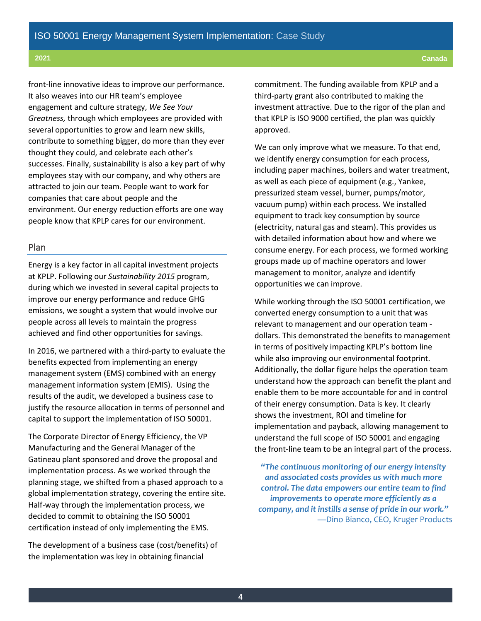front-line innovative ideas to improve our performance. It also weaves into our HR team's employee engagement and culture strategy, *We See Your Greatness,* through which employees are provided with several opportunities to grow and learn new skills, contribute to something bigger, do more than they ever thought they could, and celebrate each other's successes. Finally, sustainability is also a key part of why employees stay with our company, and why others are attracted to join our team. People want to work for companies that care about people and the environment. Our energy reduction efforts are one way people know that KPLP cares for our environment.

### Plan

Energy is a key factor in all capital investment projects at KPLP. Following our *Sustainability 2015* program, during which we invested in several capital projects to improve our energy performance and reduce GHG emissions, we sought a system that would involve our people across all levels to maintain the progress achieved and find other opportunities for savings.

In 2016, we partnered with a third-party to evaluate the benefits expected from implementing an energy management system (EMS) combined with an energy management information system (EMIS). Using the results of the audit, we developed a business case to justify the resource allocation in terms of personnel and capital to support the implementation of ISO 50001.

The Corporate Director of Energy Efficiency, the VP Manufacturing and the General Manager of the Gatineau plant sponsored and drove the proposal and implementation process. As we worked through the planning stage, we shifted from a phased approach to a global implementation strategy, covering the entire site. Half-way through the implementation process, we decided to commit to obtaining the ISO 50001 certification instead of only implementing the EMS.

The development of a business case (cost/benefits) of the implementation was key in obtaining financial

commitment. The funding available from KPLP and a third-party grant also contributed to making the investment attractive. Due to the rigor of the plan and that KPLP is ISO 9000 certified, the plan was quickly approved.

We can only improve what we measure. To that end, we identify energy consumption for each process, including paper machines, boilers and water treatment, as well as each piece of equipment (e.g., Yankee, pressurized steam vessel, burner, pumps/motor, vacuum pump) within each process. We installed equipment to track key consumption by source (electricity, natural gas and steam). This provides us with detailed information about how and where we consume energy. For each process, we formed working groups made up of machine operators and lower management to monitor, analyze and identify opportunities we can improve.

While working through the ISO 50001 certification, we converted energy consumption to a unit that was relevant to management and our operation team dollars. This demonstrated the benefits to management in terms of positively impacting KPLP's bottom line while also improving our environmental footprint. Additionally, the dollar figure helps the operation team understand how the approach can benefit the plant and enable them to be more accountable for and in control of their energy consumption. Data is key. It clearly shows the investment, ROI and timeline for implementation and payback, allowing management to understand the full scope of ISO 50001 and engaging the front-line team to be an integral part of the process.

*"The continuous monitoring of our energy intensity and associated costs provides us with much more control. The data empowers our entire team to find improvements to operate more efficiently as a company, and it instills a sense of pride in our work."* —Dino Bianco, CEO, Kruger Products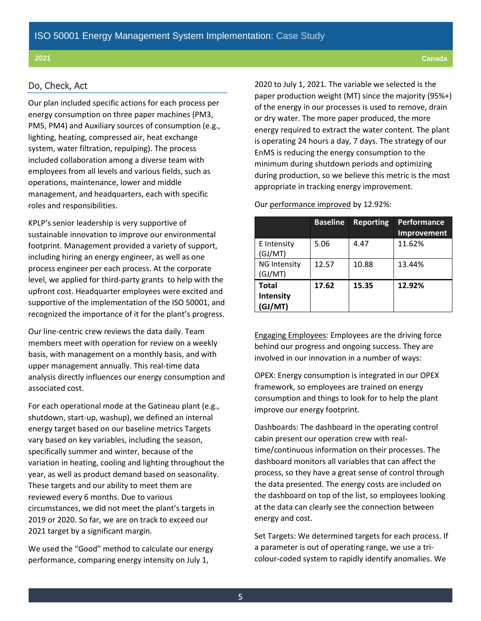### Do, Check, Act

Our plan included specific actions for each process per energy consumption on three paper machines (PM3, PM5, PM4) and Auxiliary sources of consumption (e.g., lighting, heating, compressed air, heat exchange system, water filtration, repulping). The process included collaboration among a diverse team with employees from all levels and various fields, such as operations, maintenance, lower and middle management, and headquarters, each with specific roles and responsibilities.

KPLP's senior leadership is very supportive of sustainable innovation to improve our environmental footprint. Management provided a variety of support, including hiring an energy engineer, as well as one process engineer per each process. At the corporate level, we applied for third-party grants to help with the upfront cost. Headquarter employees were excited and supportive of the implementation of the ISO 50001, and recognized the importance of it for the plant's progress.

Our line-centric crew reviews the data daily. Team members meet with operation for review on a weekly basis, with management on a monthly basis, and with upper management annually. This real-time data analysis directly influences our energy consumption and associated cost.

For each operational mode at the Gatineau plant (e.g., shutdown, start-up, washup), we defined an internal energy target based on our baseline metrics Targets vary based on key variables, including the season, specifically summer and winter, because of the variation in heating, cooling and lighting throughout the year, as well as product demand based on seasonality. These targets and our ability to meet them are reviewed every 6 months. Due to various circumstances, we did not meet the plant's targets in 2019 or 2020. So far, we are on track to exceed our 2021 target by a significant margin.

We used the "Good" method to calculate our energy performance, comparing energy intensity on July 1,

2020 to July 1, 2021. The variable we selected is the paper production weight (MT) since the majority (95%+) of the energy in our processes is used to remove, drain or dry water. The more paper produced, the more energy required to extract the water content. The plant is operating 24 hours a day, 7 days. The strategy of our EnMS is reducing the energy consumption to the minimum during shutdown periods and optimizing during production, so we believe this metric is the most appropriate in tracking energy improvement.

|  | Our performance improved by 12.92%: |  |  |  |
|--|-------------------------------------|--|--|--|
|--|-------------------------------------|--|--|--|

|                                | <b>Baseline</b> | <b>Reporting</b> | Performance<br>Improvement |
|--------------------------------|-----------------|------------------|----------------------------|
| E Intensity<br>(GJ/MT)         | 5.06            | 4.47             | 11.62%                     |
| <b>NG Intensity</b><br>(GJ/MT) | 12.57           | 10.88            | 13.44%                     |
| Total<br>Intensity<br>(GJ/MT)  | 17.62           | 15.35            | 12.92%                     |

Engaging Employees: Employees are the driving force behind our progress and ongoing success. They are involved in our innovation in a number of ways:

OPEX: Energy consumption is integrated in our OPEX framework, so employees are trained on energy consumption and things to look for to help the plant improve our energy footprint.

Dashboards: The dashboard in the operating control cabin present our operation crew with realtime/continuous information on their processes. The dashboard monitors all variables that can affect the process, so they have a great sense of control through the data presented. The energy costs are included on the dashboard on top of the list, so employees looking at the data can clearly see the connection between energy and cost.

Set Targets: We determined targets for each process. If a parameter is out of operating range, we use a tricolour-coded system to rapidly identify anomalies. We